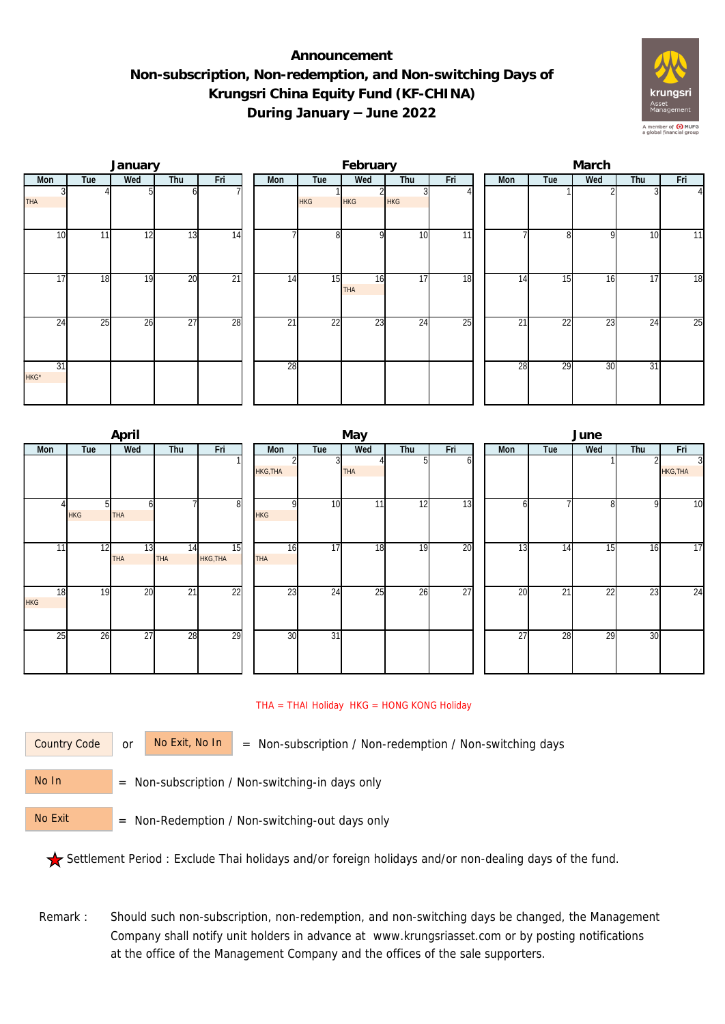## **Announcement Non-subscription, Non-redemption, and Non-switching Days of Krungsri China Equity Fund (KF-CHINA) During January – June 2022**



|            |     | January |                 |                 | February |                 |                  |            |     |  | March |          |     |                 |                |  |
|------------|-----|---------|-----------------|-----------------|----------|-----------------|------------------|------------|-----|--|-------|----------|-----|-----------------|----------------|--|
| Mon        | Tue | Wed     | Thu             | Fri             | Mon      | Tue             | Wed              | Thu        | Fri |  | Mon   | Tue      | Wed | Thu             | Fri            |  |
| <b>THA</b> |     |         |                 |                 |          | <b>HKG</b>      | HKG              | <b>HKG</b> |     |  |       |          |     |                 | $\overline{4}$ |  |
| 10         | 11  | 12      | 13              | 14              |          | 8 <sup>1</sup>  | $\Omega$         | 10         | 11  |  |       | $\Omega$ | 9   | 10              | 11             |  |
| 17         | 18  | 19      | 20              | $\overline{21}$ | 14       | 15              | 16<br><b>THA</b> | 17         | 18  |  | 14    | 15       | 16  | 17              | 18             |  |
| 24         | 25  | 26      | $\overline{27}$ | 28              | 21       | $\overline{22}$ | 23               | 24         | 25  |  | 21    | 22       | 23  | $2\overline{4}$ | 25             |  |
| 31<br>HKG* |     |         |                 |                 | 28       |                 |                  |            |     |  | 28    | 29       | 30  | 31              |                |  |

|                  |                 | April           |           |                 |                  |                 | May        |     |                 | June |                 |     |     |                                   |  |
|------------------|-----------------|-----------------|-----------|-----------------|------------------|-----------------|------------|-----|-----------------|------|-----------------|-----|-----|-----------------------------------|--|
| Mon              | Tue             | Wed             | Thu       | Fri             | Mon              | Tue             | Wed        | Thu | Fri             | Mon  | Tue             | Wed | Thu | Fri                               |  |
|                  |                 |                 |           |                 | <b>HKG, THA</b>  |                 | <b>THA</b> |     | ΩI              |      |                 |     |     | $\overline{3}$<br><b>HKG, THA</b> |  |
|                  | ы<br><b>HKG</b> | n<br><b>THA</b> |           | 8               | ΩI<br><b>HKG</b> | 10              | 11         | 12  | 13              | n    |                 | 8   | 9   | 10                                |  |
| 11               | 12              | 13<br>THA       | 14<br>THA | 15<br>HKG, THA  | 16<br><b>THA</b> | 17              | 18         | 19  | 20              | 13   | 14              | 15  | 16  | 17                                |  |
| 18<br><b>HKG</b> | 19              | 20              | 21        | $\overline{22}$ | 23               | 24              | 25         | 26  | $\overline{27}$ | 20   | $\overline{21}$ | 22  | 23  | 24                                |  |
| 25               | 26              | $\overline{27}$ | 28        | 29              | 30               | $\overline{31}$ |            |     |                 | 27   | 28              | 29  | 30  |                                   |  |

## THA = THAI Holiday HKG = HONG KONG Holiday

Country Code

or  $\overline{\phantom{a}}$  No Exit, No In  $\overline{\phantom{a}}$  = Non-subscription / Non-redemption / Non-switching days

 = Non-subscription / Non-switching-in days only No In

 = Non-Redemption / Non-switching-out days only No Exit

Settlement Period : Exclude Thai holidays and/or foreign holidays and/or non-dealing days of the fund.

Remark : Should such non-subscription, non-redemption, and non-switching days be changed, the Management Company shall notify unit holders in advance at www.krungsriasset.com or by posting notifications at the office of the Management Company and the offices of the sale supporters.